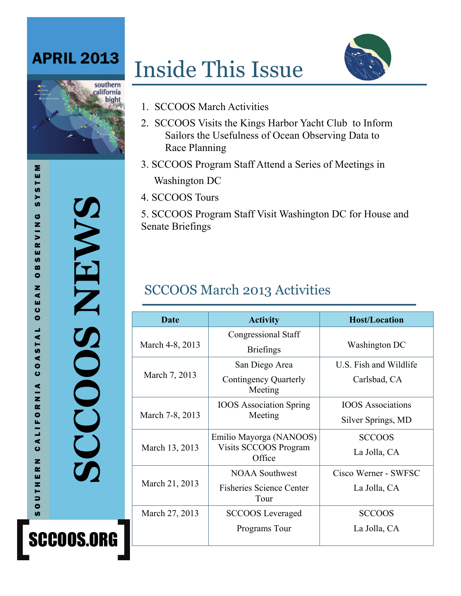# APRIL 2013

# Inside This Issue

1. SCCOOS March Activities

Race Planning





3. SCCOOS Program Staff Attend a Series of Meetings in Washington DC

2. SCCOOS Visits the Kings Harbor Yacht Club to Inform Sailors the Usefulness of Ocean Observing Data to

4. SCCOOS Tours

5. SCCOOS Program Staff Visit Washington DC for House and Senate Briefings

## SCCOOS March 2013 Activities

| Date            | <b>Activity</b>                                                  | <b>Host/Location</b>                           |
|-----------------|------------------------------------------------------------------|------------------------------------------------|
| March 4-8, 2013 | <b>Congressional Staff</b><br><b>Briefings</b>                   | Washington DC                                  |
| March 7, 2013   | San Diego Area<br><b>Contingency Quarterly</b><br>Meeting        | U.S. Fish and Wildlife<br>Carlsbad, CA         |
| March 7-8, 2013 | <b>IOOS</b> Association Spring<br>Meeting                        | <b>IOOS</b> Associations<br>Silver Springs, MD |
| March 13, 2013  | Emilio Mayorga (NANOOS)<br>Visits SCCOOS Program<br>Office       | <b>SCCOOS</b><br>La Jolla, CA                  |
| March 21, 2013  | <b>NOAA Southwest</b><br><b>Fisheries Science Center</b><br>Tour | Cisco Werner - SWFSC<br>La Jolla, CA           |
| March 27, 2013  | <b>SCCOOS</b> Leveraged<br>Programs Tour                         | <b>SCCOOS</b><br>La Jolla, CA                  |

**SCCOOS NEWS**  CCOOS NEWS

SCCOOS.ORG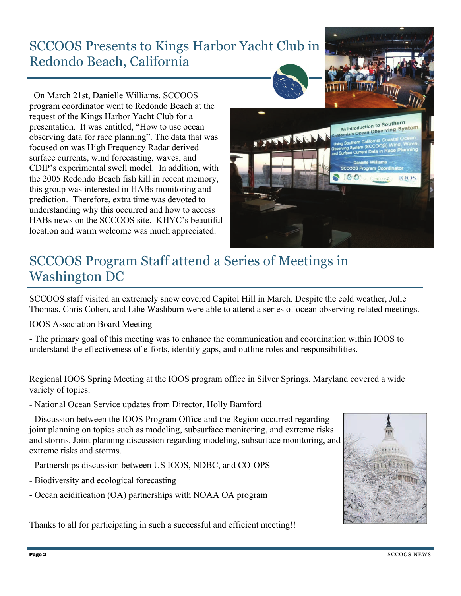#### SCCOOS Presents to Kings Harbor Yacht Club in Redondo Beach, California

 On March 21st, Danielle Williams, SCCOOS program coordinator went to Redondo Beach at the request of the Kings Harbor Yacht Club for a presentation. It was entitled, "How to use ocean observing data for race planning". The data that was focused on was High Frequency Radar derived surface currents, wind forecasting, waves, and CDIP's experimental swell model. In addition, with the 2005 Redondo Beach fish kill in recent memory, this group was interested in HABs monitoring and prediction. Therefore, extra time was devoted to understanding why this occurred and how to access HABs news on the SCCOOS site. KHYC's beautiful location and warm welcome was much appreciated.



#### SCCOOS Program Staff attend a Series of Meetings in Washington DC

SCCOOS staff visited an extremely snow covered Capitol Hill in March. Despite the cold weather, Julie Thomas, Chris Cohen, and Libe Washburn were able to attend a series of ocean observing-related meetings.

IOOS Association Board Meeting

- The primary goal of this meeting was to enhance the communication and coordination within IOOS to understand the effectiveness of efforts, identify gaps, and outline roles and responsibilities.

Regional IOOS Spring Meeting at the IOOS program office in Silver Springs, Maryland covered a wide variety of topics.

- National Ocean Service updates from Director, Holly Bamford

- Discussion between the IOOS Program Office and the Region occurred regarding joint planning on topics such as modeling, subsurface monitoring, and extreme risks and storms. Joint planning discussion regarding modeling, subsurface monitoring, and extreme risks and storms.

- Partnerships discussion between US IOOS, NDBC, and CO-OPS
- Biodiversity and ecological forecasting
- Ocean acidification (OA) partnerships with NOAA OA program

Thanks to all for participating in such a successful and efficient meeting!!